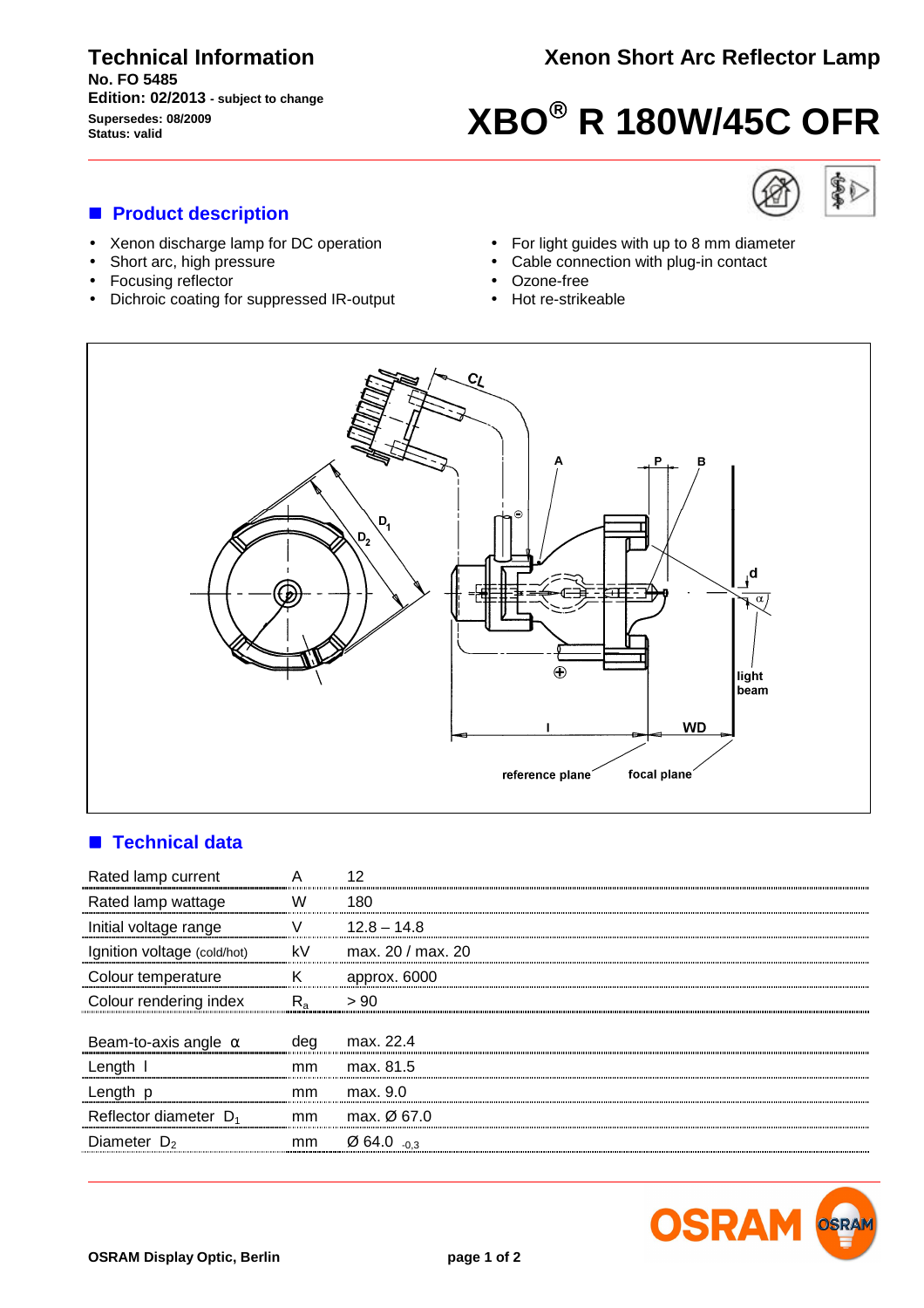#### **Technical Information No. FO 5485 Edition: 02/2013 - subject to change Supersedes: 08/2009**

# **Supersedes: 08/2009**<br> **Status: valid**<br> **XBO**<sup><sup>®</sup></sup> R 180W/45C OFR

#### ■ **Product description**

- Xenon discharge lamp for DC operation
- Short arc, high pressure
- Focusing reflector
- Dichroic coating for suppressed IR-output





- For light guides with up to 8 mm diameter
- Cable connection with plug-in contact
- Ozone-free
- Hot re-strikeable



#### $\blacksquare$  **Technical data**

| Rated lamp current          | А             |                              |
|-----------------------------|---------------|------------------------------|
| Rated lamp wattage          | W             | 180                          |
| Initial voltage range       |               | $12.8 - 14.8$                |
| Ignition voltage (cold/hot) | kV            | max. 20 / max. 20            |
| Colour temperature          | Κ             | approx. 6000                 |
| Colour rendering index      | $R_{a}$       | > 90                         |
| Beam-to-axis angle $\alpha$ | deg           | max. 22.4                    |
| Length I                    | <sub>mm</sub> | max. 81.5                    |
| Length p                    | mm            | max. 9.0                     |
| Reflector diameter $D_1$    | mm            | max. $\varnothing$ 67.0      |
| Diameter $D_2$              | mm            | $\varnothing$ 64.0 $_{-0.3}$ |
|                             |               |                              |